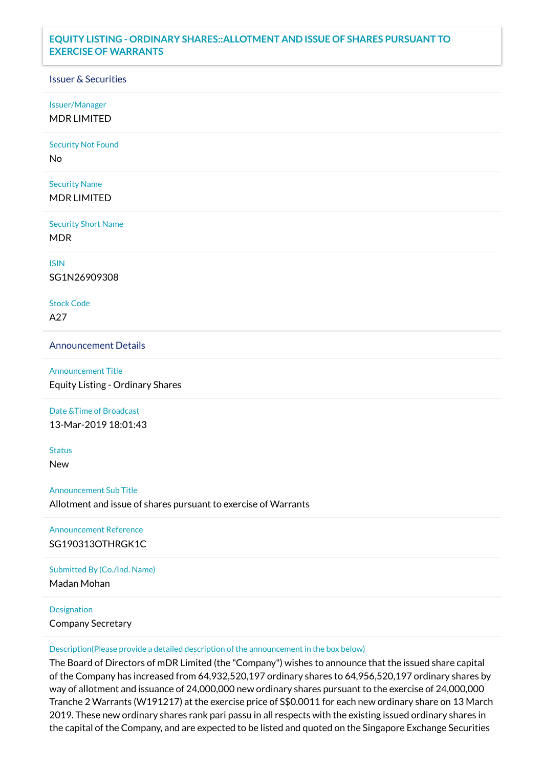## **EQUITY LISTING - ORDINARY SHARES::ALLOTMENT AND ISSUE OF SHARES PURSUANT TO EXERCISE OF WARRANTS**

## Issuer & Securities

Issuer/Manager

MDR LIMITED

Security Not Found

No

Security Name MDR LIMITED

Security Short Name MDR

ISIN

SG1N26909308

Stock Code A27

Announcement Details

Announcement Title Equity Listing - Ordinary Shares

Date &Time of Broadcast

13-Mar-2019 18:01:43

**Status** 

New

Announcement Sub Title

Allotment and issue of shares pursuant to exercise of Warrants

Announcement Reference SG190313OTHRGK1C

Submitted By (Co./Ind. Name)

Madan Mohan

**Designation** 

Company Secretary

Description(Please provide a detailed description of the announcement in the box below)

The Board of Directors of mDR Limited (the "Company") wishes to announce that the issued share capital of the Company has increased from 64,932,520,197 ordinary shares to 64,956,520,197 ordinary shares by way of allotment and issuance of 24,000,000 new ordinary shares pursuant to the exercise of 24,000,000 Tranche 2 Warrants (W191217) at the exercise price of S\$0.0011 for each new ordinary share on 13 March 2019. These new ordinary shares rank pari passu in all respects with the existing issued ordinary shares in the capital of the Company, and are expected to be listed and quoted on the Singapore Exchange Securities